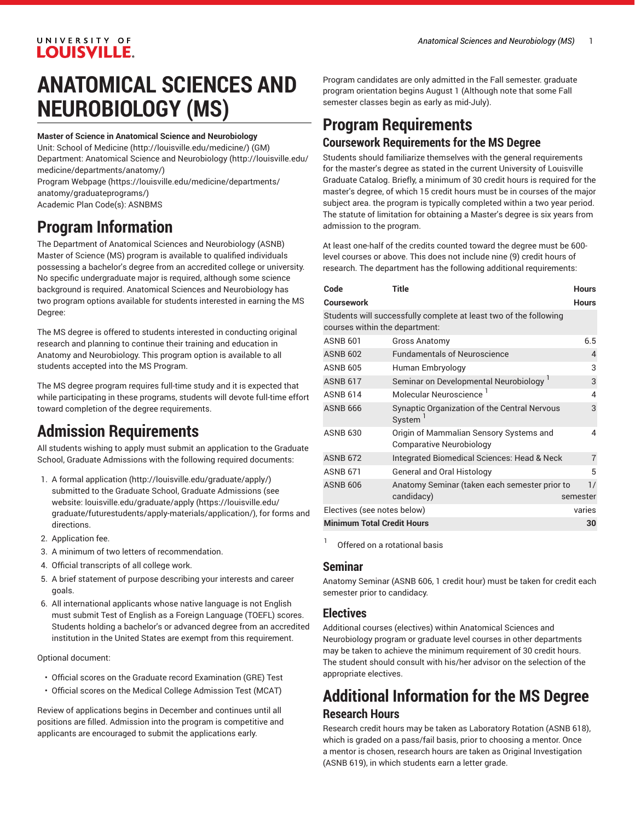# UNIVERSITY OF LOUISVILLE.

# **ANATOMICAL SCIENCES AND NEUROBIOLOGY (MS)**

#### **Master of Science in Anatomical Science and Neurobiology**

Unit: [School of Medicine \(http://louisville.edu/medicine/\)](http://louisville.edu/medicine/) (GM) Department: Anatomical Science and [Neurobiology](http://louisville.edu/medicine/departments/anatomy/) ([http://louisville.edu/](http://louisville.edu/medicine/departments/anatomy/) [medicine/departments/anatomy/](http://louisville.edu/medicine/departments/anatomy/))

Program [Webpage](https://louisville.edu/medicine/departments/anatomy/graduateprograms/) [\(https://louisville.edu/medicine/departments/](https://louisville.edu/medicine/departments/anatomy/graduateprograms/) [anatomy/graduateprograms/](https://louisville.edu/medicine/departments/anatomy/graduateprograms/)) Academic Plan Code(s): ASNBMS

**Program Information**

The Department of Anatomical Sciences and Neurobiology (ASNB) Master of Science (MS) program is available to qualified individuals possessing a bachelor's degree from an accredited college or university. No specific undergraduate major is required, although some science background is required. Anatomical Sciences and Neurobiology has two program options available for students interested in earning the MS Degree:

The MS degree is offered to students interested in conducting original research and planning to continue their training and education in Anatomy and Neurobiology. This program option is available to all students accepted into the MS Program.

The MS degree program requires full-time study and it is expected that while participating in these programs, students will devote full-time effort toward completion of the degree requirements.

# **Admission Requirements**

All students wishing to apply must submit an application to the Graduate School, Graduate Admissions with the following required documents:

- 1. A formal [application \(http://louisville.edu/graduate/apply/](http://louisville.edu/graduate/apply/)) submitted to the Graduate School, Graduate Admissions (see website: [louisville.edu/graduate/apply](https://louisville.edu/graduate/futurestudents/apply-materials/application/) ([https://louisville.edu/](https://louisville.edu/graduate/futurestudents/apply-materials/application/) [graduate/futurestudents/apply-materials/application/](https://louisville.edu/graduate/futurestudents/apply-materials/application/)), for forms and directions.
- 2. Application fee.
- 3. A minimum of two letters of recommendation.
- 4. Official transcripts of all college work.
- 5. A brief statement of purpose describing your interests and career goals.
- 6. All international applicants whose native language is not English must submit Test of English as a Foreign Language (TOEFL) scores. Students holding a bachelor's or advanced degree from an accredited institution in the United States are exempt from this requirement.

Optional document:

- Official scores on the Graduate record Examination (GRE) Test
- Official scores on the Medical College Admission Test (MCAT)

Review of applications begins in December and continues until all positions are filled. Admission into the program is competitive and applicants are encouraged to submit the applications early.

Program candidates are only admitted in the Fall semester. graduate program orientation begins August 1 (Although note that some Fall semester classes begin as early as mid-July).

# **Program Requirements Coursework Requirements for the MS Degree**

Students should familiarize themselves with the general requirements for the master's degree as stated in the current University of Louisville Graduate Catalog. Briefly, a minimum of 30 credit hours is required for the master's degree, of which 15 credit hours must be in courses of the major subject area. the program is typically completed within a two year period. The statute of limitation for obtaining a Master's degree is six years from admission to the program.

At least one-half of the credits counted toward the degree must be 600 level courses or above. This does not include nine (9) credit hours of research. The department has the following additional requirements:

| Code                                                              | <b>Title</b>                                                        | <b>Hours</b>   |
|-------------------------------------------------------------------|---------------------------------------------------------------------|----------------|
| Coursework                                                        |                                                                     | <b>Hours</b>   |
| Students will successfully complete at least two of the following |                                                                     |                |
| courses within the department:                                    |                                                                     |                |
| <b>ASNB 601</b>                                                   | Gross Anatomy                                                       | 6.5            |
| <b>ASNB 602</b>                                                   | <b>Fundamentals of Neuroscience</b>                                 | 4              |
| <b>ASNB 605</b>                                                   | Human Embryology                                                    | 3              |
| <b>ASNB 617</b>                                                   | Seminar on Developmental Neurobiology                               | 3              |
| <b>ASNB 614</b>                                                   | Molecular Neuroscience <sup>1</sup>                                 | 4              |
| <b>ASNB 666</b>                                                   | Synaptic Organization of the Central Nervous<br>System <sup>1</sup> | 3              |
| <b>ASNB 630</b>                                                   | Origin of Mammalian Sensory Systems and<br>Comparative Neurobiology | 4              |
| <b>ASNB 672</b>                                                   | Integrated Biomedical Sciences: Head & Neck                         | $\overline{7}$ |
| <b>ASNB 671</b>                                                   | <b>General and Oral Histology</b>                                   | 5              |
| <b>ASNB 606</b>                                                   | Anatomy Seminar (taken each semester prior to                       | 1/             |
|                                                                   | candidacy)                                                          | semester       |
| Electives (see notes below)                                       |                                                                     | varies         |
| <b>Minimum Total Credit Hours</b>                                 |                                                                     | 30             |

Offered on a rotational basis

#### **Seminar**

1

Anatomy Seminar (ASNB 606, 1 credit hour) must be taken for credit each semester prior to candidacy.

### **Electives**

Additional courses (electives) within Anatomical Sciences and Neurobiology program or graduate level courses in other departments may be taken to achieve the minimum requirement of 30 credit hours. The student should consult with his/her advisor on the selection of the appropriate electives.

# **Additional Information for the MS Degree Research Hours**

Research credit hours may be taken as Laboratory Rotation (ASNB 618), which is graded on a pass/fail basis, prior to choosing a mentor. Once a mentor is chosen, research hours are taken as Original Investigation (ASNB 619), in which students earn a letter grade.